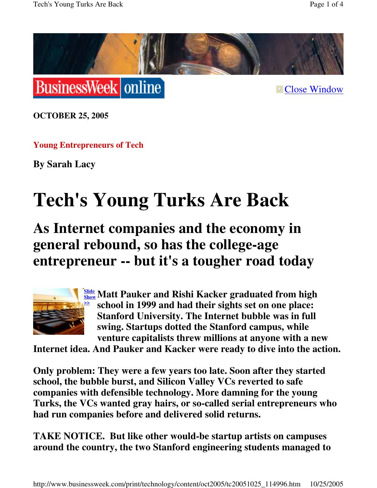

BusinessWeek online

**Close Window** 

**OCTOBER 25, 2005**

**Young Entrepreneurs of Tech**

**By Sarah Lacy**

## **Tech's Young Turks Are Back**

## **As Internet companies and the economy in general rebound, so has the college-age entrepreneur -- but it's a tougher road today**



**Matt Pauker and Rishi Kacker graduated from high Slide school in 1999 and had their sights set on one place: Stanford University. The Internet bubble was in full swing. Startups dotted the Stanford campus, while venture capitalists threw millions at anyone with a new**

**Internet idea. And Pauker and Kacker were ready to dive into the action.**

**Only problem: They were a few years too late. Soon after they started school, the bubble burst, and Silicon Valley VCs reverted to safe companies with defensible technology. More damning for the young Turks, the VCs wanted gray hairs, or so-called serial entrepreneurs who had run companies before and delivered solid returns.**

**TAKE NOTICE. But like other would-be startup artists on campuses around the country, the two Stanford engineering students managed to**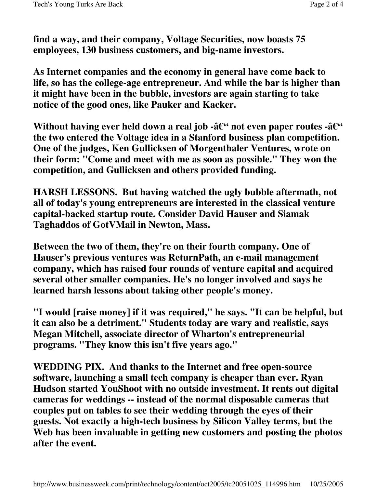**find a way, and their company, Voltage Securities, now boasts 75 employees, 130 business customers, and big-name investors.**

**As Internet companies and the economy in general have come back to life, so has the college-age entrepreneur. And while the bar is higher than it might have been in the bubble, investors are again starting to take notice of the good ones, like Pauker and Kacker.**

**Without** having ever held down a real job  $-\hat{a}\cdot\hat{c}$  not even paper routes  $-\hat{a}\cdot\hat{c}$ **the two entered the Voltage idea in a Stanford business plan competition. One of the judges, Ken Gullicksen of Morgenthaler Ventures, wrote on their form: "Come and meet with me as soon as possible." They won the competition, and Gullicksen and others provided funding.**

**HARSH LESSONS. But having watched the ugly bubble aftermath, not all of today's young entrepreneurs are interested in the classical venture capital-backed startup route. Consider David Hauser and Siamak Taghaddos of GotVMail in Newton, Mass.**

**Between the two of them, they're on their fourth company. One of Hauser's previous ventures was ReturnPath, an e-mail management company, which has raised four rounds of venture capital and acquired several other smaller companies. He's no longer involved and says he learned harsh lessons about taking other people's money.**

**"I would [raise money] if it was required, " he says. "It can be helpful, but it can also be a detriment." Students today are wary and realistic, says Megan Mitchell, associate director of Wharton's entrepreneurial programs. "They know this isn't five years ago."**

**WEDDING PIX. And thanks to the Internet and free open-source software, launching a small tech company is cheaper than ever. Ryan Hudson started YouShoot with no outside investment. It rents out digital cameras for weddings -- instead of the normal disposable cameras that couples put on tables to see their wedding through the eyes of their guests. Not exactly a high-tech business by Silicon Valley terms, but the Web has been invaluable in getting new customers and posting the photos after the event.**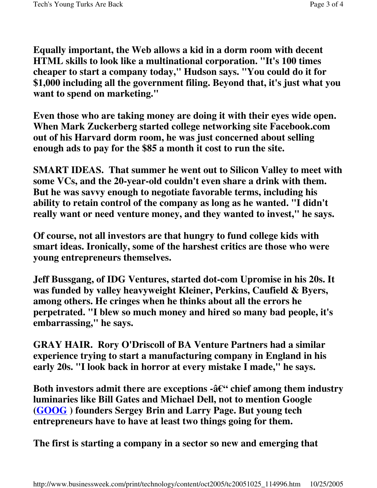**Equally important, the Web allows a kid in a dorm room with decent HTML skills to look like a multinational corporation. "It's 100 times cheaper to start a company today, " Hudson says. "You could do it for \$1,000 including all the government filing. Beyond that, it's just what you want to spend on marketing."**

**Even those who are taking money are doing it with their eyes wide open. When Mark Zuckerberg started college networking site Facebook.com out of his Harvard dorm room, he was just concerned about selling enough ads to pay for the \$85 a month it cost to run the site.**

**SMART IDEAS. That summer he went out to Silicon Valley to meet with some VCs, and the 20-year-old couldn't even share a drink with them. But he was savvy enough to negotiate favorable terms, including his ability to retain control of the company as long as he wanted. "I didn't really want or need venture money, and they wanted to invest, " he says.**

**Of course, not all investors are that hungry to fund college kids with smart ideas. Ironically, some of the harshest critics are those who were young entrepreneurs themselves.**

**Jeff Bussgang, of IDG Ventures, started dot-com Upromise in his 20s. It was funded by valley heavyweight Kleiner, Perkins, Caufield & Byers, among others. He cringes when he thinks about all the errors he perpetrated. "I blew so much money and hired so many bad people, it's embarrassing, " he says.**

**GRAY HAIR. Rory O'Driscoll of BA Venture Partners had a similar experience trying to start a manufacturing company in England in his early 20s. "I look back in horror at every mistake I made, " he says.**

**Both investors admit there are exceptions -– chief among them industry luminaries like Bill Gates and Michael Dell, not to mention Google (GOOG ) founders Sergey Brin and Larry Page. But young tech entrepreneurs have to have at least two things going for them.**

**The first is starting a company in a sector so new and emerging that**